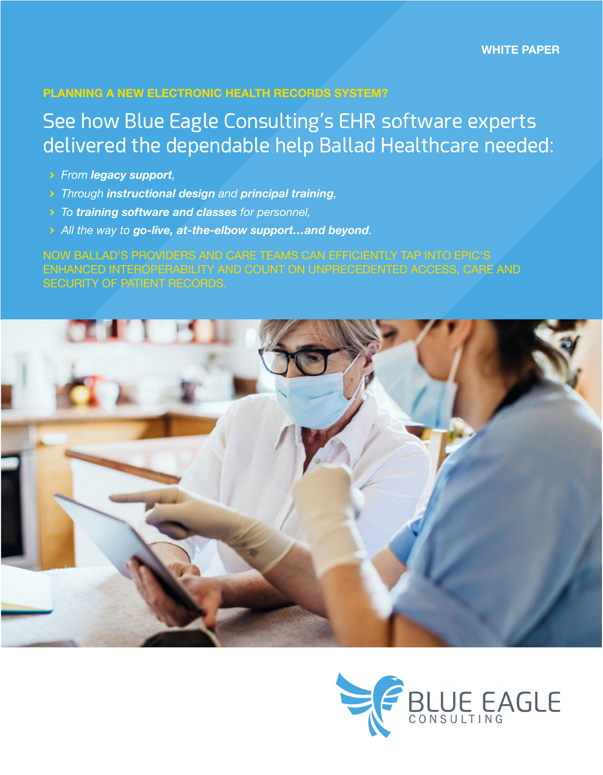### **PLANNING A NEW ELECTRONIC HEALTH RECORDS SYSTEM?**

### See how Blue Eagle Consulting's EHR software experts delivered the dependable help Ballad Healthcare needed:

- ĉ *From legacy support,*
- ĉ *Through instructional design and principal training,*
- ĉ *To training software and classes for personnel,*
- ĉ *All the way to go-live, at-the-elbow support…and beyond.*

NOW BALLAD'S PROVIDERS AND CARE TEAMS CAN EFFICIENTLY TAP INTO EPIC'S ENHANCED INTEROPERABILITY AND COUNT ON UNPRECEDENTED ACCESS, CARE AND SECURITY OF PATIENT RECORDS.



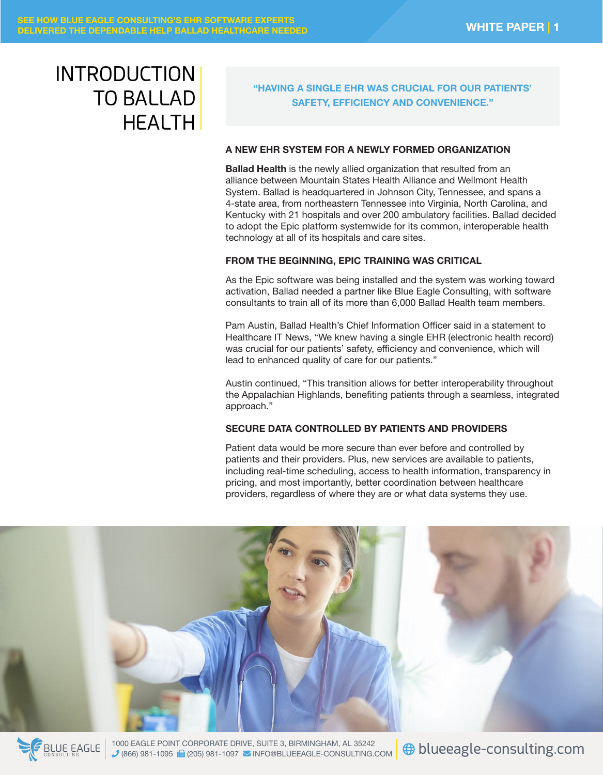# INTRODUCTION TO BALLAD **HEALTH**

### **"HAVING A SINGLE EHR WAS CRUCIAL FOR OUR PATIENTS' SAFETY, EFFICIENCY AND CONVENIENCE."**

#### **A NEW EHR SYSTEM FOR A NEWLY FORMED ORGANIZATION**

**Ballad Health** is the newly allied organization that resulted from an alliance between Mountain States Health Alliance and Wellmont Health System. Ballad is headquartered in Johnson City, Tennessee, and spans a 4-state area, from northeastern Tennessee into Virginia, North Carolina, and Kentucky with 21 hospitals and over 200 ambulatory facilities. Ballad decided to adopt the Epic platform systemwide for its common, interoperable health technology at all of its hospitals and care sites.

#### **FROM THE BEGINNING, EPIC TRAINING WAS CRITICAL**

As the Epic software was being installed and the system was working toward activation, Ballad needed a partner like Blue Eagle Consulting, with software consultants to train all of its more than 6,000 Ballad Health team members.

Pam Austin, Ballad Health's Chief Information Officer said in a statement to Healthcare IT News, "We knew having a single EHR (electronic health record) was crucial for our patients' safety, efficiency and convenience, which will lead to enhanced quality of care for our patients."

Austin continued, "This transition allows for better interoperability throughout the Appalachian Highlands, benefiting patients through a seamless, integrated approach."

#### **SECURE DATA CONTROLLED BY PATIENTS AND PROVIDERS**

Patient data would be more secure than ever before and controlled by patients and their providers. Plus, new services are available to patients, including real-time scheduling, access to health information, transparency in pricing, and most importantly, better coordination between healthcare providers, regardless of where they are or what data systems they use.





1000 EAGLE POINT CORPORATE DRIVE, SUITE 3, BIRMINGHAM, AL 35242 1000 EAGLE POINT CORPORATE DRIVE, SUITE 3, BIRMINGHAM, AL 35242<br>1866) 981-1095 **R** (205) 981-1097 MINFO@BLUEEAGLE-CONSULTING.COM **+ blueeagle-consulting.com**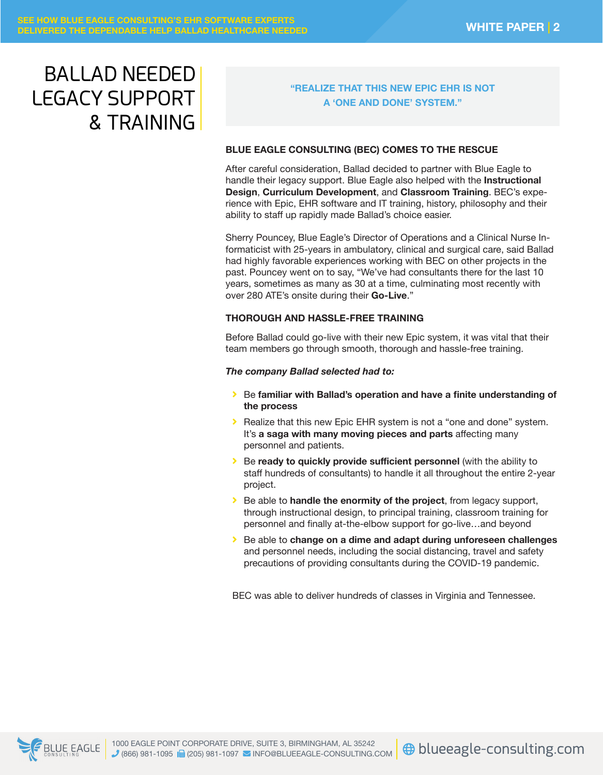# BALLAD NEEDED LEGACY SUPPORT & TRAINING

#### **"REALIZE THAT THIS NEW EPIC EHR IS NOT A 'ONE AND DONE' SYSTEM."**

#### **BLUE EAGLE CONSULTING (BEC) COMES TO THE RESCUE**

After careful consideration, Ballad decided to partner with Blue Eagle to handle their legacy support. Blue Eagle also helped with the **Instructional Design**, **Curriculum Development**, and **Classroom Training**. BEC's experience with Epic, EHR software and IT training, history, philosophy and their ability to staff up rapidly made Ballad's choice easier.

Sherry Pouncey, Blue Eagle's Director of Operations and a Clinical Nurse Informaticist with 25-years in ambulatory, clinical and surgical care, said Ballad had highly favorable experiences working with BEC on other projects in the past. Pouncey went on to say, "We've had consultants there for the last 10 years, sometimes as many as 30 at a time, culminating most recently with over 280 ATE's onsite during their **Go-Live**."

#### **THOROUGH AND HASSLE-FREE TRAINING**

Before Ballad could go-live with their new Epic system, it was vital that their team members go through smooth, thorough and hassle-free training.

#### *The company Ballad selected had to:*

- **Example 3 Septem Ballad**'s operation and have a finite understanding of **the process**
- **EXECT:** Realize that this new Epic EHR system is not a "one and done" system. It's **a saga with many moving pieces and parts** affecting many personnel and patients.
- **Example 2 Figure 2 Be ready to quickly provide sufficient personnel** (with the ability to staff hundreds of consultants) to handle it all throughout the entire 2-year project.
- **Example to handle the enormity of the project**, from legacy support, through instructional design, to principal training, classroom training for personnel and finally at-the-elbow support for go-live…and beyond
- ĉ Be able to **change on a dime and adapt during unforeseen challenges** and personnel needs, including the social distancing, travel and safety precautions of providing consultants during the COVID-19 pandemic.

BEC was able to deliver hundreds of classes in Virginia and Tennessee.



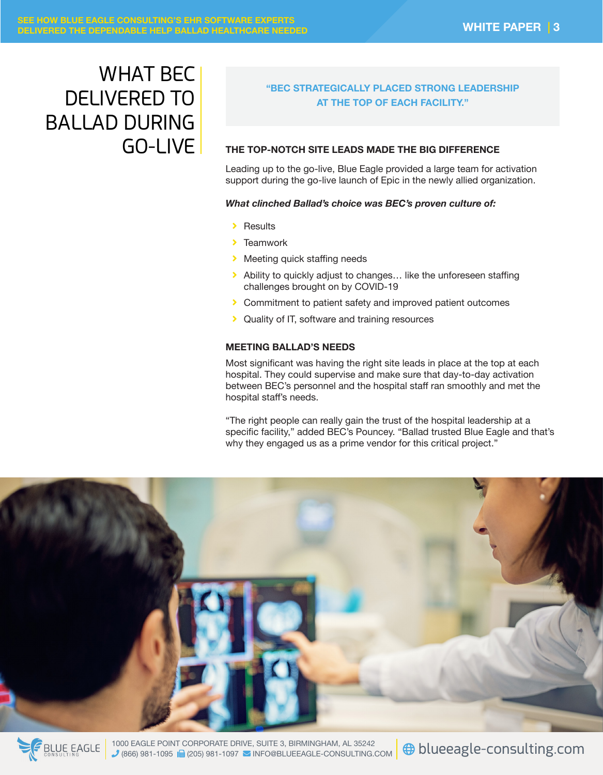# WHAT BEC DELIVERED TO BALLAD DURING GO-LIVE

### **"BEC STRATEGICALLY PLACED STRONG LEADERSHIP AT THE TOP OF EACH FACILITY."**

#### **THE TOP-NOTCH SITE LEADS MADE THE BIG DIFFERENCE**

Leading up to the go-live, Blue Eagle provided a large team for activation support during the go-live launch of Epic in the newly allied organization.

#### *What clinched Ballad's choice was BEC's proven culture of:*

- $\blacktriangleright$  Results
- $\blacktriangleright$  Teamwork
- **EX Meeting quick staffing needs**
- $\blacktriangleright$  Ability to quickly adjust to changes... like the unforeseen staffing challenges brought on by COVID-19
- > Commitment to patient safety and improved patient outcomes
- **EX** Quality of IT, software and training resources

#### **MEETING BALLAD'S NEEDS**

Most significant was having the right site leads in place at the top at each hospital. They could supervise and make sure that day-to-day activation between BEC's personnel and the hospital staff ran smoothly and met the hospital staff's needs.

"The right people can really gain the trust of the hospital leadership at a specific facility," added BEC's Pouncey. "Ballad trusted Blue Eagle and that's why they engaged us as a prime vendor for this critical project."



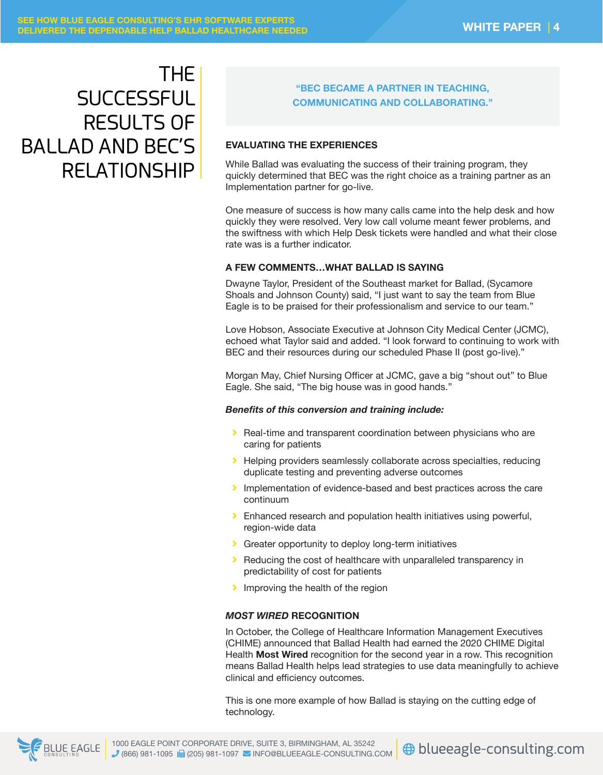## THE **SUCCESSFUL** RESULTS OF BALLAD AND BEC'S RELATIONSHIP

#### **"BEC BECAME A PARTNER IN TEACHING, COMMUNICATING AND COLLABORATING."**

#### **EVALUATING THE EXPERIENCES**

While Ballad was evaluating the success of their training program, they quickly determined that BEC was the right choice as a training partner as an Implementation partner for go-live.

One measure of success is how many calls came into the help desk and how quickly they were resolved. Very low call volume meant fewer problems, and the swiftness with which Help Desk tickets were handled and what their close rate was is a further indicator.

#### **A FEW COMMENTS…WHAT BALLAD IS SAYING**

Dwayne Taylor, President of the Southeast market for Ballad, (Sycamore Shoals and Johnson County) said, "I just want to say the team from Blue Eagle is to be praised for their professionalism and service to our team."

Love Hobson, Associate Executive at Johnson City Medical Center (JCMC), echoed what Taylor said and added. "I look forward to continuing to work with BEC and their resources during our scheduled Phase II (post go-live)."

Morgan May, Chief Nursing Officer at JCMC, gave a big "shout out" to Blue Eagle. She said, "The big house was in good hands."

#### *Benefits of this conversion and training include:*

- > Real-time and transparent coordination between physicians who are caring for patients
- **EXECT Helping providers seamlessly collaborate across specialties, reducing** duplicate testing and preventing adverse outcomes
- Implementation of evidence-based and best practices across the care continuum
- $\triangleright$  Enhanced research and population health initiatives using powerful, region-wide data
- **Ci** Greater opportunity to deploy long-term initiatives
- $\blacktriangleright$  Reducing the cost of healthcare with unparalleled transparency in predictability of cost for patients
- $\blacktriangleright$  Improving the health of the region

#### *MOST WIRED* **RECOGNITION**

In October, the College of Healthcare Information Management Executives (CHIME) announced that Ballad Health had earned the 2020 CHIME Digital Health **Most Wired** recognition for the second year in a row. This recognition means Ballad Health helps lead strategies to use data meaningfully to achieve clinical and efficiency outcomes.

This is one more example of how Ballad is staying on the cutting edge of technology.

**E** BLUE EAGLE

1000 EAGLE POINT CORPORATE DRIVE, SUITE 3, BIRMINGHAM, AL 35242  $(866)$  981-1095  $\overline{R}$  (205) 981-1097  $\overline{M}$  INFO@BLUEEAGLE-CONSULTING.COM